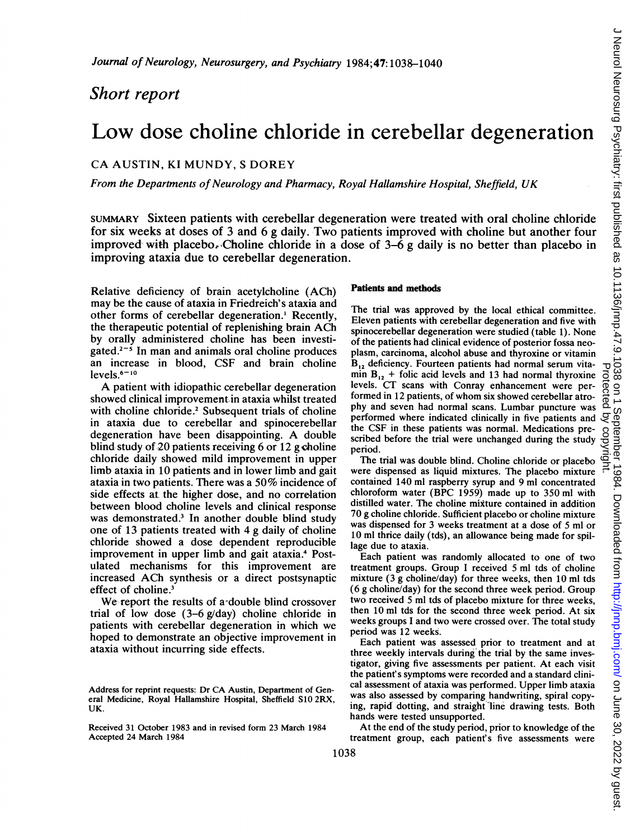## Short report

# Low dose choline chloride in cerebellar degeneration

### CA AUSTIN, KI MUNDY, <sup>S</sup> DOREY

From the Departments of Neurology and Pharmacy, Royal Hallamshire Hospital, Sheffield, UK

SUMMARY Sixteen patients with cerebellar degeneration were treated with oral choline chloride for six weeks at doses of <sup>3</sup> and 6 g daily. Two patients improved with choline but another four improved with placebo. Choline chloride in a dose of  $3-\overline{6}$  g daily is no better than placebo in improving ataxia due to cerebellar degeneration.

Relative deficiency of brain acetylcholine (ACh) may be the cause of ataxia in Friedreich's ataxia and other forms of cerebellar degeneration.' Recently, the therapeutic potential of replenishing brain ACh by orally administered choline has been investigated.<sup> $2-5$ </sup> In man and animals oral choline produces an increase in blood, CSF and brain choline levels.<sup>6-10</sup>

A patient with idiopathic cerebellar degeneration showed clinical improvement in ataxia whilst treated with choline chloride.<sup>2</sup> Subsequent trials of choline in ataxia due to cerebellar and spinocerebellar degeneration have been disappointing. A double blind study of 20 patients receiving 6 or 12 g choline chloride daily showed mild improvement in upper limb ataxia in 10 patients and in lower limb and gait ataxia in two patients. There was <sup>a</sup> 50% incidence of side effects at the higher dose, and no correlation between blood choline levels and clinical response was demonstrated.<sup>3</sup> In another double blind study one of 13 patients treated with 4 g daily of choline chloride showed a dose dependent reproducible improvement in upper limb and gait ataxia.<sup>4</sup> Postulated mechanisms for this improvement are increased ACh synthesis or <sup>a</sup> direct postsynaptic effect of choline.<sup>3</sup>

We report the results of a-double blind crossover trial of low dose  $(3-6 \frac{g}{day})$  choline chloride in patients with cerebellar degeneration in which we hoped to demonstrate an objective improvement in ataxia without incurring side effects.

#### Patients and methods

The trial was approved by the local ethical committee. Eleven patients with cerebellar degeneration and five with spinocerebellar degeneration were studied (table 1). None of the patients had clinical evidence of posterior fossa neoplasm, carcinoma, alcohol abuse and thyroxine or vitamin  $B_{12}$  deficiency. Fourteen patients had normal serum vita- $B_{12}$  deheancy. Fourteen patients had normal serum vita-<br>min  $B_{12}$  + folic acid levels and 13 had normal thyroxine of<br>levels. CT scans with Conray enhancement were per-<br>formed in 12 patients, of whom six showed cerebe levels. CT scans with Conray enhancement were performed in 12 patients, of whom six showed cerebellar atrophy and seven had normal scans. Lumbar puncture was performed where indicated clinically in five patients and the CSF in these patients was normal. Medications prescribed before the trial were unchanged during the study period.

The trial was double blind. Choline chloride or placebo were dispensed as liquid mixtures. The placebo mixture contained 140 ml raspberry syrup and 9 ml concentrated chloroform water (BPC 1959) made up to 350 ml with distilled water. The choline mixture contained in addition 70 g choline chloride. Sufficient placebo or choline mixture was dispensed for 3 weeks treatment at a dose of 5 ml or 10 ml thrice daily (tds), an allowance being made for spillage due to ataxia.

Each patient was randomly allocated to one of two treatment groups. Group <sup>I</sup> received 5 ml tds of choline mixture (3 g choline/day) for three weeks, then 10 ml tds (6 g choline/day) for the second three week period. Group two received 5 ml tds of placebo mixture for three weeks, then 10 ml tds for the second three week period. At six weeks groups <sup>I</sup> and two were crossed over. The total study period was 12 weeks.

Each patient was assessed prior to treatment and at three weekly intervals during the trial by the same investigator, giving five assessments per patient. At each visit the patient' <sup>s</sup> symptoms were recorded and a standard clinical assessment of ataxia was performed. Upper limb ataxia was also assessed by comparing handwriting, spiral copying, rapid dotting, and straight line drawing tests. Both hands were tested unsupported.

At the end of the study period, prior to knowledge of the treatment group, each patient's five assessments were

Address for reprint requests: Dr CA Austin, Department of General Medicine, Royal Hallamshire Hospital, Sheffield S10 2RX, UK.

Received 31 October 1983 and in revised form 23 March 1984 Accepted 24 March 1984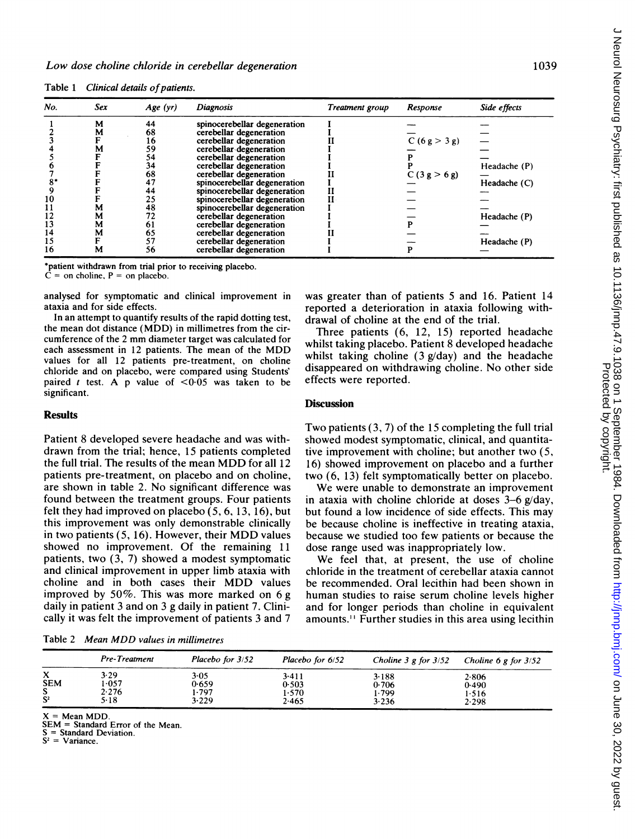| No. | Sex | Age(yr) | <b>Diagnosis</b>             | Treatment group | Response      | Side effects |  |  |
|-----|-----|---------|------------------------------|-----------------|---------------|--------------|--|--|
|     | M   | 44      | spinocerebellar degeneration |                 |               |              |  |  |
|     | М   | 68      | cerebellar degeneration      |                 |               |              |  |  |
|     |     | 16      | cerebellar degeneration      |                 | C (6 g > 3 g) |              |  |  |
|     | м   | 59      | cerebellar-degeneration      |                 |               |              |  |  |
|     |     | 54      | cerebellar degeneration      |                 |               |              |  |  |
|     |     | 34      | cerebellar degeneration      |                 |               | Headache (P) |  |  |
|     |     | 68      | cerebellar degeneration      |                 | C(3 g > 6 g)  |              |  |  |
|     |     | 47      | spinocerebellar degeneration |                 |               | Headache (C) |  |  |
|     |     | 44      | spinocerebellar degeneration |                 |               |              |  |  |
| 10  |     | 25      | spinocerebellar degeneration |                 |               |              |  |  |
| 11  | м   | 48      | spinocerebellar degeneration |                 |               |              |  |  |
| 12  | M   | 72      | cerebellar degeneration      |                 |               | Headache (P) |  |  |
| 13  | M   | 61      | cerebellar degeneration      |                 |               |              |  |  |
| 14  | M   | 65      | cerebellar degeneration      |                 |               |              |  |  |
| 15  |     | 57      | cerebellar degeneration      |                 |               | Headache (P) |  |  |
| 16  | м   | 56      | cerebellar degeneration      |                 |               |              |  |  |
|     |     |         |                              |                 |               |              |  |  |

Table 1 Clinical details of patients.

\*patient withdrawn from trial prior to receiving placebo.

 $=$  on choline,  $P =$  on placebo.

In an attempt to quantify results of the rapid dotting test, drawal of choline at the end of the trial.<br>the mean dot distance (MDD) in millimetres from the cir-<br>Three postiants (6, 12, 15) reported each assessment in 12 patients. The mean of the MDD values for all 12 patients pre-treatment, on choline chloride and on placebo, were compared using Students' disappeared on withdrawing chorine. The choice of  $\leq 0.05$  was taken to be effects were reported. paired t test. A p value of  $\leq 0.05$  was taken to be significant.

#### Results

Patient 8 developed severe headache and was with-<br>drawn from the trial; hence, 15 patients completed tive improvement with choline: but another two (5, the full trial. The results of the mean MDD for all 12 16) showed improvement on placebo and a further patients pre-treatment, on placebo and on choline, two (6, 13) felt symptomatically better on placebo. patients pre-treatment, on placebo and on choline, two (6, 13) felt symptomatically better on placebo.<br>are shown in table 2. No significant difference was We were unable to demonstrate an improvement are shown in table 2. No significant difference was We were unable to demonstrate an improvement found between the treatment groups. Four patients in ataxia with choline chloride at doses  $3-6 \text{ g}/\text{day}$ . felt they had improved on placebo  $(5, 6, 13, 16)$ , but but found a low incidence of side effects. This may this improvement was only demonstrable clinically be because choline is ineffective in treating ataxia. this improvement was only demonstrable clinically be because choline is ineffective in treating ataxia, in two patients (5, 16). However, their MDD values because we studied too few patients or because the showed no improvement. Of the remaining 11 patients, two  $(3, 7)$  showed a modest symptomatic We feel that, at present, the use of choline and clinical improvement in upper limb ataxia with chloride in the treatment of cerebellar ataxia cannot choline and in both cases their MDD values be recommended. Oral lecithin had been shown in improved by  $50\%$ . This was more marked on 6 g human studies to raise serum choline levels higher daily in patient 3 and on 3 g daily in patient 7. Clini- and for longer periods than choline in equivalent

Table <sup>2</sup> Mean MDD values in millimetres

analysed for symptomatic and clinical improvement in was greater than of patients 5 and 16. Patient 14 axia and for side effects.<br>In an attempt to quantify results of the rapid dotting test, drawal of choline at the end of the trial

Three patients  $(6, 12, 15)$  reported headache cumference of the 2 mm diameter target was calculated for whilst taking placebo. Patient 8 developed headache whilst taking choline  $(3 g/day)$  and the headache disappeared on withdrawing choline. No other side

#### **Discussion**

Two patients (3, 7) of the 15 completing the full trial tive improvement with choline; but another two  $(5, 1)$ 

in ataxia with choline chloride at doses  $3-6$  g/day, because we studied too few patients or because the dose range used was inappropriately low.

chloride in the treatment of cerebellar ataxia cannot human studies to raise serum choline levels higher cally it was felt the improvement of patients 3 and 7 amounts." Further studies in this area using lecithin

|                                    | Pre-Treatment                  | Placebo for 3/52                | Placebo for 6/52                 | Choline $3 \cancel{g}$ for $3/52$ | Choline 6 g for $3/52$           |
|------------------------------------|--------------------------------|---------------------------------|----------------------------------|-----------------------------------|----------------------------------|
| X<br><b>SEM</b><br>c<br>э<br>$S^2$ | 3.29<br>1.057<br>2.276<br>5-18 | 3.05<br>0.659<br>1.797<br>3.229 | 3.411<br>0.503<br>1.570<br>2.465 | 3.188<br>0.706<br>1.799<br>3.236  | 2.806<br>0.490<br>1.516<br>2.298 |

 $=$  Mean MDD.

SEM = Standard Error of the Mean.

 $=$  Standard Deviation.

 $=$  Variance.

 $\subset$